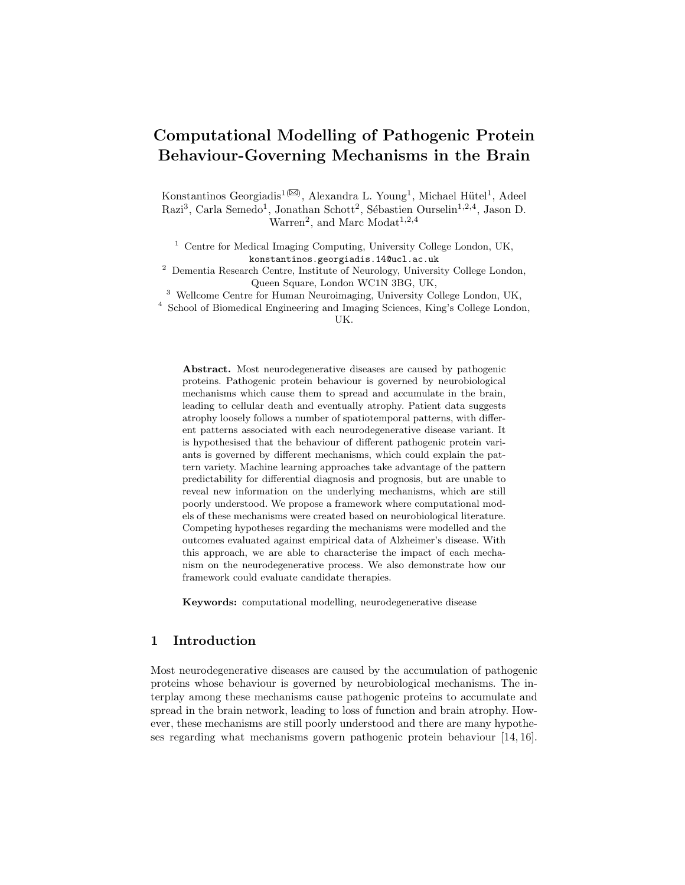# Computational Modelling of Pathogenic Protein Behaviour-Governing Mechanisms in the Brain

Konstantinos Georgiadis<sup>1( $\boxtimes$ )</sup>, Alexandra L. Young<sup>1</sup>, Michael Hütel<sup>1</sup>, Adeel Razi<sup>3</sup>, Carla Semedo<sup>1</sup>, Jonathan Schott<sup>2</sup>, Sébastien Ourselin<sup>1,2,4</sup>, Jason D.  $\text{Warren}^2$ , and Marc Modat<sup>1,2,4</sup>

<sup>1</sup> Centre for Medical Imaging Computing, University College London, UK, konstantinos.georgiadis.14@ucl.ac.uk

<sup>2</sup> Dementia Research Centre, Institute of Neurology, University College London, Queen Square, London WC1N 3BG, UK,

<sup>3</sup> Wellcome Centre for Human Neuroimaging, University College London, UK,

<sup>4</sup> School of Biomedical Engineering and Imaging Sciences, King's College London, UK.

Abstract. Most neurodegenerative diseases are caused by pathogenic proteins. Pathogenic protein behaviour is governed by neurobiological mechanisms which cause them to spread and accumulate in the brain, leading to cellular death and eventually atrophy. Patient data suggests atrophy loosely follows a number of spatiotemporal patterns, with different patterns associated with each neurodegenerative disease variant. It is hypothesised that the behaviour of different pathogenic protein variants is governed by different mechanisms, which could explain the pattern variety. Machine learning approaches take advantage of the pattern predictability for differential diagnosis and prognosis, but are unable to reveal new information on the underlying mechanisms, which are still poorly understood. We propose a framework where computational models of these mechanisms were created based on neurobiological literature. Competing hypotheses regarding the mechanisms were modelled and the outcomes evaluated against empirical data of Alzheimer's disease. With this approach, we are able to characterise the impact of each mechanism on the neurodegenerative process. We also demonstrate how our framework could evaluate candidate therapies.

Keywords: computational modelling, neurodegenerative disease

# 1 Introduction

Most neurodegenerative diseases are caused by the accumulation of pathogenic proteins whose behaviour is governed by neurobiological mechanisms. The interplay among these mechanisms cause pathogenic proteins to accumulate and spread in the brain network, leading to loss of function and brain atrophy. However, these mechanisms are still poorly understood and there are many hypotheses regarding what mechanisms govern pathogenic protein behaviour [14, 16].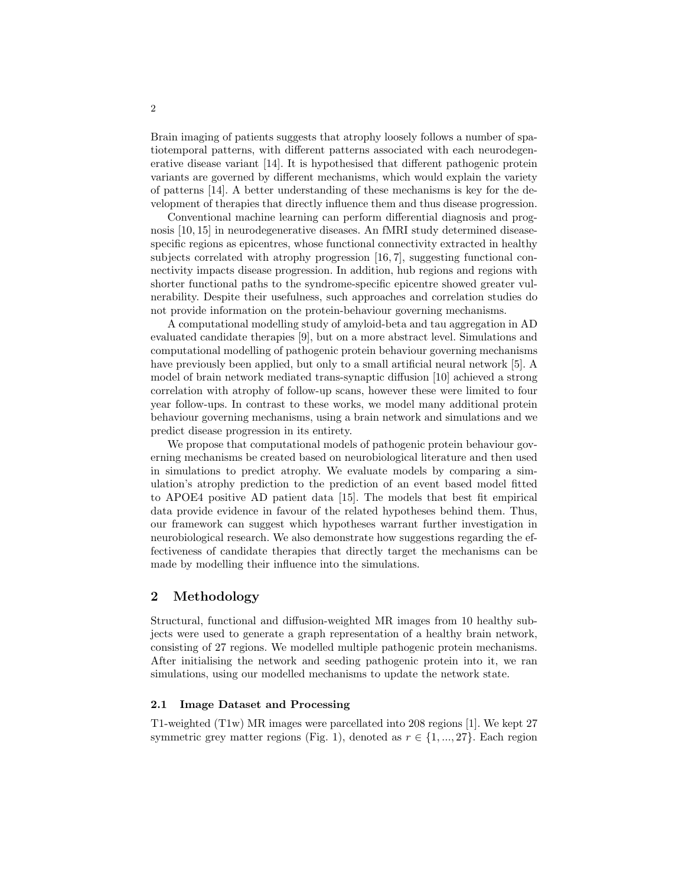Brain imaging of patients suggests that atrophy loosely follows a number of spatiotemporal patterns, with different patterns associated with each neurodegenerative disease variant [14]. It is hypothesised that different pathogenic protein variants are governed by different mechanisms, which would explain the variety of patterns [14]. A better understanding of these mechanisms is key for the development of therapies that directly influence them and thus disease progression.

Conventional machine learning can perform differential diagnosis and prognosis [10, 15] in neurodegenerative diseases. An fMRI study determined diseasespecific regions as epicentres, whose functional connectivity extracted in healthy subjects correlated with atrophy progression [16, 7], suggesting functional connectivity impacts disease progression. In addition, hub regions and regions with shorter functional paths to the syndrome-specific epicentre showed greater vulnerability. Despite their usefulness, such approaches and correlation studies do not provide information on the protein-behaviour governing mechanisms.

A computational modelling study of amyloid-beta and tau aggregation in AD evaluated candidate therapies [9], but on a more abstract level. Simulations and computational modelling of pathogenic protein behaviour governing mechanisms have previously been applied, but only to a small artificial neural network [5]. A model of brain network mediated trans-synaptic diffusion [10] achieved a strong correlation with atrophy of follow-up scans, however these were limited to four year follow-ups. In contrast to these works, we model many additional protein behaviour governing mechanisms, using a brain network and simulations and we predict disease progression in its entirety.

We propose that computational models of pathogenic protein behaviour governing mechanisms be created based on neurobiological literature and then used in simulations to predict atrophy. We evaluate models by comparing a simulation's atrophy prediction to the prediction of an event based model fitted to APOE4 positive AD patient data [15]. The models that best fit empirical data provide evidence in favour of the related hypotheses behind them. Thus, our framework can suggest which hypotheses warrant further investigation in neurobiological research. We also demonstrate how suggestions regarding the effectiveness of candidate therapies that directly target the mechanisms can be made by modelling their influence into the simulations.

# 2 Methodology

Structural, functional and diffusion-weighted MR images from 10 healthy subjects were used to generate a graph representation of a healthy brain network, consisting of 27 regions. We modelled multiple pathogenic protein mechanisms. After initialising the network and seeding pathogenic protein into it, we ran simulations, using our modelled mechanisms to update the network state.

#### 2.1 Image Dataset and Processing

T1-weighted (T1w) MR images were parcellated into 208 regions [1]. We kept 27 symmetric grey matter regions (Fig. 1), denoted as  $r \in \{1, ..., 27\}$ . Each region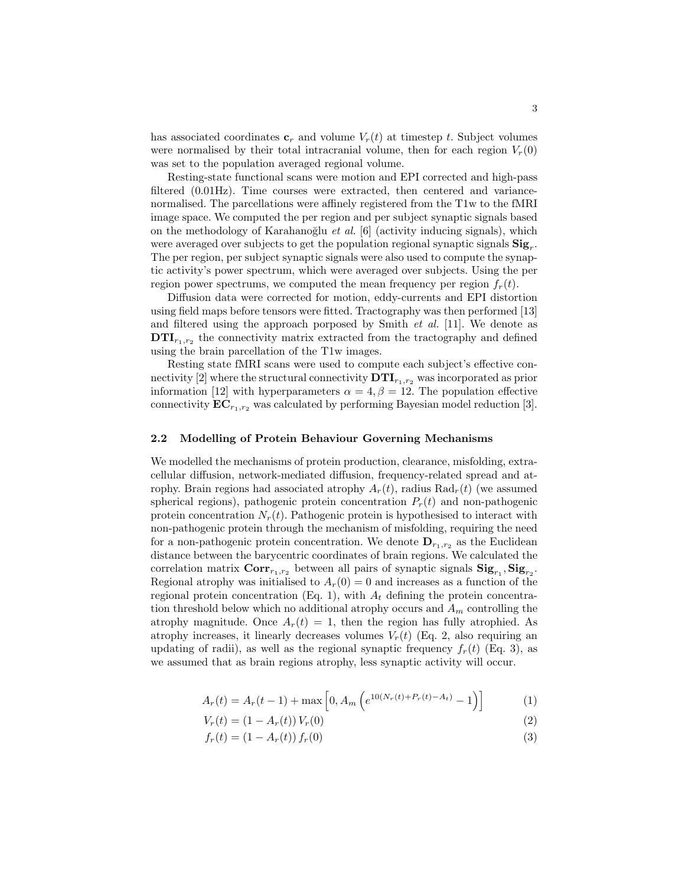has associated coordinates  $\mathbf{c}_r$  and volume  $V_r(t)$  at timestep t. Subject volumes were normalised by their total intracranial volume, then for each region  $V_r(0)$ was set to the population averaged regional volume.

Resting-state functional scans were motion and EPI corrected and high-pass filtered (0.01Hz). Time courses were extracted, then centered and variancenormalised. The parcellations were affinely registered from the T1w to the fMRI image space. We computed the per region and per subject synaptic signals based on the methodology of Karahanoğlu et al.  $[6]$  (activity inducing signals), which were averaged over subjects to get the population regional synaptic signals  $\text{Sig}_r$ . The per region, per subject synaptic signals were also used to compute the synaptic activity's power spectrum, which were averaged over subjects. Using the per region power spectrums, we computed the mean frequency per region  $f_r(t)$ .

Diffusion data were corrected for motion, eddy-currents and EPI distortion using field maps before tensors were fitted. Tractography was then performed [13] and filtered using the approach porposed by Smith  $et$  al. [11]. We denote as  $DTI_{r_1,r_2}$  the connectivity matrix extracted from the tractography and defined using the brain parcellation of the T1w images.

Resting state fMRI scans were used to compute each subject's effective connectivity [2] where the structural connectivity  $DTI_{r_1,r_2}$  was incorporated as prior information [12] with hyperparameters  $\alpha = 4, \beta = 12$ . The population effective connectivity  $EC_{r_1,r_2}$  was calculated by performing Bayesian model reduction [3].

#### 2.2 Modelling of Protein Behaviour Governing Mechanisms

We modelled the mechanisms of protein production, clearance, misfolding, extracellular diffusion, network-mediated diffusion, frequency-related spread and atrophy. Brain regions had associated atrophy  $A_r(t)$ , radius  $\text{Rad}_r(t)$  (we assumed spherical regions), pathogenic protein concentration  $P_r(t)$  and non-pathogenic protein concentration  $N_r(t)$ . Pathogenic protein is hypothesised to interact with non-pathogenic protein through the mechanism of misfolding, requiring the need for a non-pathogenic protein concentration. We denote  $\mathbf{D}_{r_1,r_2}$  as the Euclidean distance between the barycentric coordinates of brain regions. We calculated the correlation matrix  $Corr_{r_1,r_2}$  between all pairs of synaptic signals  $\text{Sig}_{r_1}, \text{Sig}_{r_2}.$ Regional atrophy was initialised to  $A_r(0) = 0$  and increases as a function of the regional protein concentration (Eq. 1), with  $A_t$  defining the protein concentration threshold below which no additional atrophy occurs and  $A_m$  controlling the atrophy magnitude. Once  $A_r(t) = 1$ , then the region has fully atrophied. As atrophy increases, it linearly decreases volumes  $V_r(t)$  (Eq. 2, also requiring an updating of radii), as well as the regional synaptic frequency  $f_r(t)$  (Eq. 3), as we assumed that as brain regions atrophy, less synaptic activity will occur.

$$
A_r(t) = A_r(t-1) + \max\left[0, A_m\left(e^{10(N_r(t) + P_r(t) - A_t)} - 1\right)\right]
$$
 (1)

$$
V_r(t) = (1 - A_r(t)) V_r(0)
$$
\n(2)

$$
f_r(t) = (1 - A_r(t)) f_r(0)
$$
\n(3)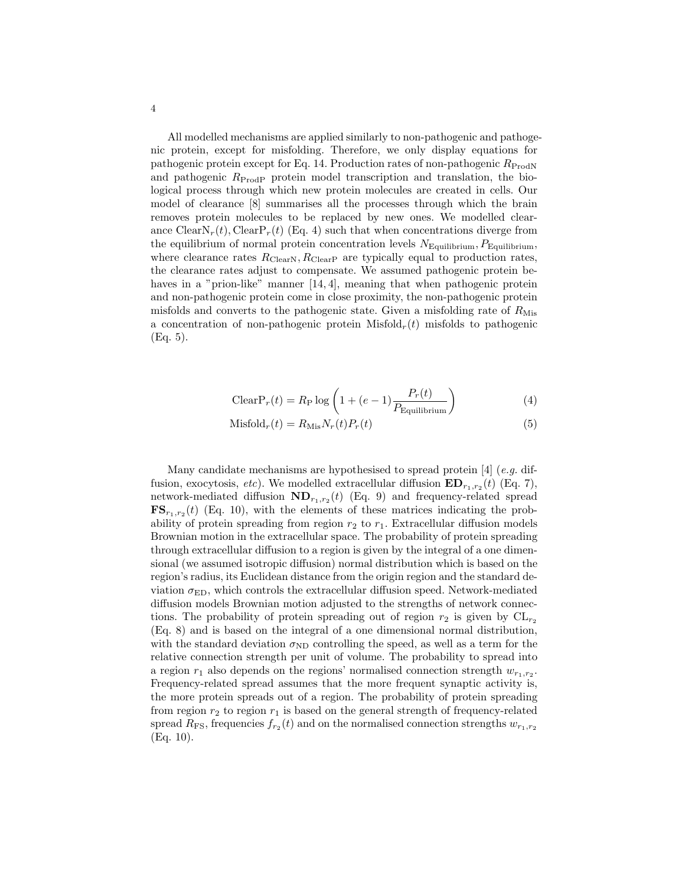All modelled mechanisms are applied similarly to non-pathogenic and pathogenic protein, except for misfolding. Therefore, we only display equations for pathogenic protein except for Eq. 14. Production rates of non-pathogenic  $R_{\text{Prod}N}$ and pathogenic  $R_{\text{ProdP}}$  protein model transcription and translation, the biological process through which new protein molecules are created in cells. Our model of clearance [8] summarises all the processes through which the brain removes protein molecules to be replaced by new ones. We modelled clearance  $ClearN_r(t)$ , Clear $P_r(t)$  (Eq. 4) such that when concentrations diverge from the equilibrium of normal protein concentration levels  $N_{\text{Equilibrium}}$ ,  $P_{\text{Equilibrium}}$ , where clearance rates  $R_{\text{ClearN}}$ ,  $R_{\text{ClearP}}$  are typically equal to production rates, the clearance rates adjust to compensate. We assumed pathogenic protein behaves in a "prion-like" manner [14, 4], meaning that when pathogenic protein and non-pathogenic protein come in close proximity, the non-pathogenic protein misfolds and converts to the pathogenic state. Given a misfolding rate of  $R_{\text{Mis}}$ a concentration of non-pathogenic protein  $Misfold_r(t)$  misfolds to pathogenic (Eq. 5).

$$
\text{ClearP}_r(t) = R_{\text{P}} \log \left( 1 + (e - 1) \frac{P_r(t)}{P_{\text{Equilibrium}}} \right)
$$
 (4)

$$
Misfoldr(t) = RMisNr(t)Pr(t)
$$
\n(5)

Many candidate mechanisms are hypothesised to spread protein  $[4]$  (e.g. diffusion, exocytosis, *etc*). We modelled extracellular diffusion  $ED_{r_1,r_2}(t)$  (Eq. 7), network-mediated diffusion  $ND_{r_1,r_2}(t)$  (Eq. 9) and frequency-related spread  $\mathbf{FS}_{r_1,r_2}(t)$  (Eq. 10), with the elements of these matrices indicating the probability of protein spreading from region  $r_2$  to  $r_1$ . Extracellular diffusion models Brownian motion in the extracellular space. The probability of protein spreading through extracellular diffusion to a region is given by the integral of a one dimensional (we assumed isotropic diffusion) normal distribution which is based on the region's radius, its Euclidean distance from the origin region and the standard deviation  $\sigma_{ED}$ , which controls the extracellular diffusion speed. Network-mediated diffusion models Brownian motion adjusted to the strengths of network connections. The probability of protein spreading out of region  $r_2$  is given by  $CL_{r_2}$ (Eq. 8) and is based on the integral of a one dimensional normal distribution, with the standard deviation  $\sigma_{ND}$  controlling the speed, as well as a term for the relative connection strength per unit of volume. The probability to spread into a region  $r_1$  also depends on the regions' normalised connection strength  $w_{r_1,r_2}$ . Frequency-related spread assumes that the more frequent synaptic activity is, the more protein spreads out of a region. The probability of protein spreading from region  $r_2$  to region  $r_1$  is based on the general strength of frequency-related spread  $R_{\text{FS}}$ , frequencies  $f_{r_2}(t)$  and on the normalised connection strengths  $w_{r_1,r_2}$ (Eq. 10).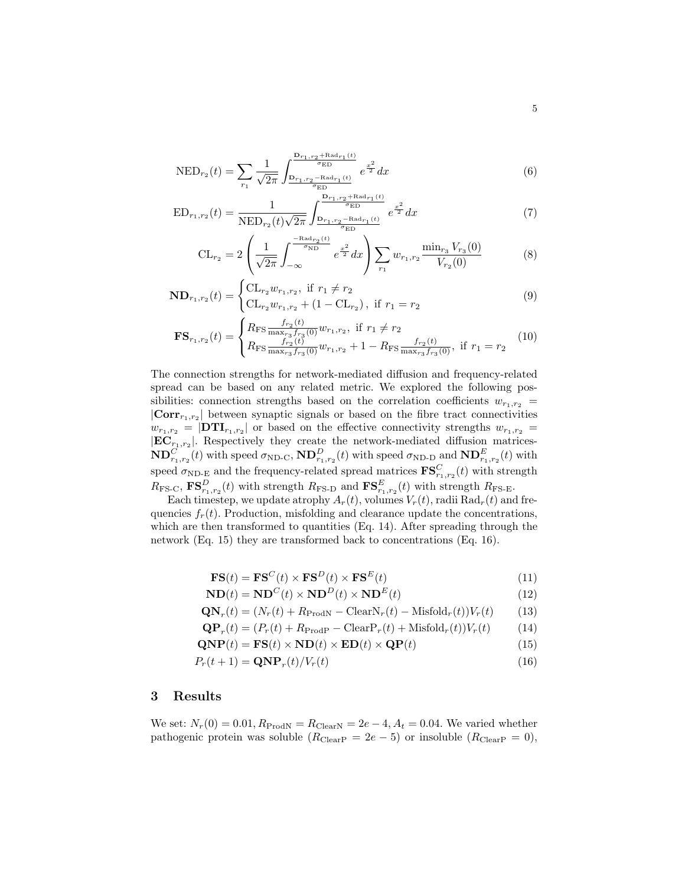$$
NED_{r_2}(t) = \sum_{r_1} \frac{1}{\sqrt{2\pi}} \int_{\frac{D_{r_1,r_2} + \text{Rad}_{r_1}(t)}{\sigma_{ED}}}^{\frac{D_{r_1,r_2} + \text{Rad}_{r_1}(t)}{\sigma_{ED}}} e^{\frac{x^2}{2}} dx
$$
 (6)

$$
ED_{r_1,r_2}(t) = \frac{1}{NED_{r_2}(t)\sqrt{2\pi}} \int_{\frac{D_{r_1,r_2} - \text{Rad}_{r_1}(t)}{\sigma_{ED}}}^{\frac{D_{r_1,r_2} + \text{Rad}_{r_1}(t)}{\sigma_{ED}}} e^{\frac{x^2}{2}} dx \tag{7}
$$

$$
\text{CL}_{r_2} = 2 \left( \frac{1}{\sqrt{2\pi}} \int_{-\infty}^{-\frac{\text{Rad}_{r_2}(t)}{\sigma_{\text{ND}}}} e^{\frac{x^2}{2}} dx \right) \sum_{r_1} w_{r_1, r_2} \frac{\min_{r_3} V_{r_3}(0)}{V_{r_2}(0)} \tag{8}
$$

$$
\mathbf{ND}_{r_1,r_2}(t) = \begin{cases} \mathrm{CL}_{r_2} w_{r_1,r_2}, & \text{if } r_1 \neq r_2 \\ \mathrm{CL}_{r_2} w_{r_1,r_2} + (1 - \mathrm{CL}_{r_2}), & \text{if } r_1 = r_2 \end{cases}
$$
(9)

$$
\mathbf{FS}_{r_1,r_2}(t) = \begin{cases} R_{\text{FS}} \frac{f_{r_2}(t)}{\max_{r_3} f_{r_3}(0)} w_{r_1,r_2}, & \text{if } r_1 \neq r_2\\ R_{\text{FS}} \frac{f_{r_2}(t)}{\max_{r_3} f_{r_3}(0)} w_{r_1,r_2} + 1 - R_{\text{FS}} \frac{f_{r_2}(t)}{\max_{r_3} f_{r_3}(0)}, & \text{if } r_1 = r_2 \end{cases} (10)
$$

The connection strengths for network-mediated diffusion and frequency-related spread can be based on any related metric. We explored the following possibilities: connection strengths based on the correlation coefficients  $w_{r_1,r_2}$  =  $|\text{Corr}_{r_1,r_2}|$  between synaptic signals or based on the fibre tract connectivities  $w_{r_1,r_2} = |DTI_{r_1,r_2}|$  or based on the effective connectivity strengths  $w_{r_1,r_2} =$  $|\mathbf{EC}_{r_1,r_2}|$ . Respectively they create the network-mediated diffusion matrices- $\text{ND}_{r_1,r_2}^C(t)$  with speed  $\sigma_{\text{ND-C}},\text{ND}_{r_1,r_2}^D(t)$  with speed  $\sigma_{\text{ND-D}}$  and  $\text{ND}_{r_1,r_2}^E(t)$  with speed  $\sigma_{\text{ND-E}}$  and the frequency-related spread matrices  $\textbf{FS}^C_{r_1,r_2}(t)$  with strength  $R_{\text{FS-C}}, \text{FS}_{r_1,r_2}^D(t)$  with strength  $R_{\text{FS-D}}$  and  $\text{FS}_{r_1,r_2}^E(t)$  with strength  $R_{\text{FS-E}}$ .

Each timestep, we update atrophy  $A_r(t)$ , volumes  $V_r(t)$ , radii  $\text{Rad}_r(t)$  and frequencies  $f_r(t)$ . Production, misfolding and clearance update the concentrations, which are then transformed to quantities (Eq. 14). After spreading through the network (Eq. 15) they are transformed back to concentrations (Eq. 16).

$$
\mathbf{FS}(t) = \mathbf{FS}^C(t) \times \mathbf{FS}^D(t) \times \mathbf{FS}^E(t)
$$
\n(11)

$$
\mathbf{ND}(t) = \mathbf{ND}^C(t) \times \mathbf{ND}^D(t) \times \mathbf{ND}^E(t)
$$
\n(12)

$$
\mathbf{QN}_r(t) = (N_r(t) + R_{\text{ProdN}} - \text{ClearN}_r(t) - \text{Misfold}_r(t))V_r(t)
$$
(13)

$$
\mathbf{QP}_r(t) = (P_r(t) + R_{\text{ProdP}} - \text{ClearP}_r(t) + \text{Misfold}_r(t))V_r(t)
$$
(14)

$$
\mathbf{QNP}(t) = \mathbf{FS}(t) \times \mathbf{ND}(t) \times \mathbf{ED}(t) \times \mathbf{QP}(t)
$$
\n(15)

$$
P_r(t+1) = \mathbf{QNP}_r(t) / V_r(t)
$$
\n(16)

# 3 Results

We set:  $N_r(0) = 0.01$ ,  $R_{\text{Prod}N} = R_{\text{Clear}N} = 2e - 4$ ,  $A_t = 0.04$ . We varied whether pathogenic protein was soluble  $(R_{\text{ClearP}} = 2e - 5)$  or insoluble  $(R_{\text{ClearP}} = 0)$ ,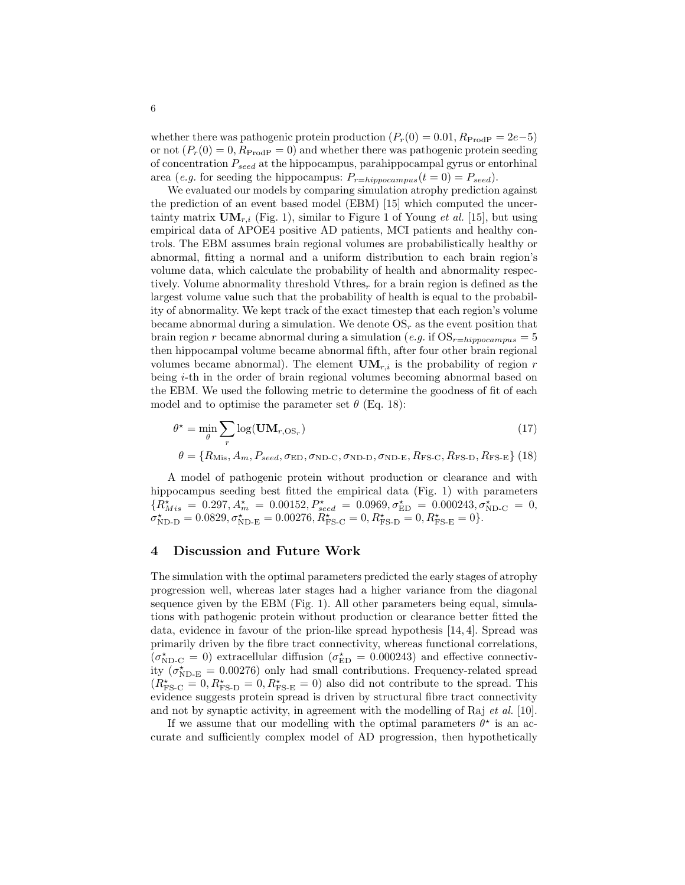whether there was pathogenic protein production  $(P_r(0) = 0.01, R_{\text{Prod}} = 2e-5)$ or not  $(P_r(0) = 0, R_{\text{ProdP}} = 0)$  and whether there was pathogenic protein seeding of concentration  $P_{seed}$  at the hippocampus, parahippocampal gyrus or entorhinal area (e.g. for seeding the hippocampus:  $P_{r=hippocampus}(t=0) = P_{seed})$ .

We evaluated our models by comparing simulation atrophy prediction against the prediction of an event based model (EBM) [15] which computed the uncertainty matrix  $\mathbf{UM}_{r,i}$  (Fig. 1), similar to Figure 1 of Young *et al.* [15], but using empirical data of APOE4 positive AD patients, MCI patients and healthy controls. The EBM assumes brain regional volumes are probabilistically healthy or abnormal, fitting a normal and a uniform distribution to each brain region's volume data, which calculate the probability of health and abnormality respectively. Volume abnormality threshold Vthres<sub>r</sub> for a brain region is defined as the largest volume value such that the probability of health is equal to the probability of abnormality. We kept track of the exact timestep that each region's volume became abnormal during a simulation. We denote  $OS<sub>r</sub>$  as the event position that brain region r became abnormal during a simulation (e.g. if  $OS_{r=hippocampus} = 5$ then hippocampal volume became abnormal fifth, after four other brain regional volumes became abnormal). The element  $\mathbf{UM}_{r,i}$  is the probability of region r being i-th in the order of brain regional volumes becoming abnormal based on the EBM. We used the following metric to determine the goodness of fit of each model and to optimise the parameter set  $\theta$  (Eq. 18):

$$
\theta^* = \min_{\theta} \sum_{r} \log(\mathbf{UM}_{r, \text{OS}_r}) \tag{17}
$$

$$
\theta = \{R_{\text{Mis}}, A_m, P_{seed}, \sigma_{\text{ED}}, \sigma_{\text{ND-C}}, \sigma_{\text{ND-D}}, \sigma_{\text{ND-E}}, R_{\text{FS-C}}, R_{\text{FS-D}}, R_{\text{FS-E}}\} (18)
$$

A model of pathogenic protein without production or clearance and with hippocampus seeding best fitted the empirical data (Fig. 1) with parameters  ${R}^{\star}_{Mis} = 0.297, A^{\star}_{m} = 0.00152, P^{\star}_{seed} = 0.0969, \sigma^{\star}_{ED} = 0.000243, \sigma^{\star}_{NDC} = 0,$  $\sigma_{\text{ND-D}}^{\star} = 0.0829, \sigma_{\text{ND-E}}^{\star} = 0.00276, R_{\text{FS-C}}^{\star} = 0, R_{\text{FS-D}}^{\star} = 0, R_{\text{FS-E}}^{\star} = 0$ .

# 4 Discussion and Future Work

The simulation with the optimal parameters predicted the early stages of atrophy progression well, whereas later stages had a higher variance from the diagonal sequence given by the EBM (Fig. 1). All other parameters being equal, simulations with pathogenic protein without production or clearance better fitted the data, evidence in favour of the prion-like spread hypothesis [14, 4]. Spread was primarily driven by the fibre tract connectivity, whereas functional correlations,  $(\sigma_{ND-C}^{\star}=0)$  extracellular diffusion  $(\sigma_{ED}^{\star}=0.000243)$  and effective connectivity  $(\sigma_{\text{ND-E}}^{\star} = 0.00276)$  only had small contributions. Frequency-related spread  $(R_{\text{FS-C}}^{\star} = 0, R_{\text{FS-D}}^{\star} = 0, R_{\text{FS-E}}^{\star} = 0)$  also did not contribute to the spread. This evidence suggests protein spread is driven by structural fibre tract connectivity and not by synaptic activity, in agreement with the modelling of Raj  $et al.$  [10].

If we assume that our modelling with the optimal parameters  $\theta^*$  is an accurate and sufficiently complex model of AD progression, then hypothetically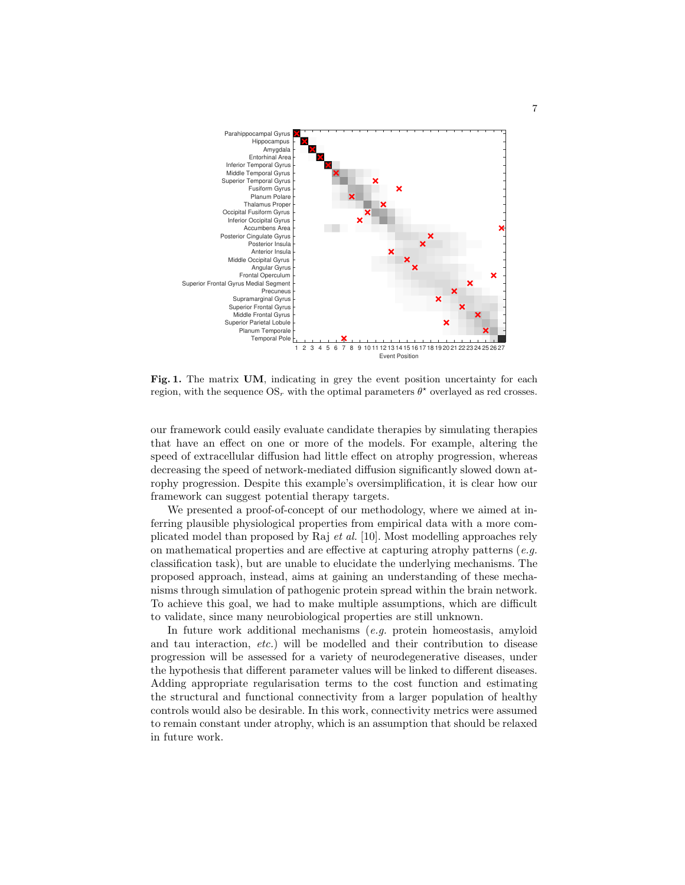

Fig. 1. The matrix UM, indicating in grey the event position uncertainty for each region, with the sequence  $OS_r$  with the optimal parameters  $\theta^*$  overlayed as red crosses.

our framework could easily evaluate candidate therapies by simulating therapies that have an effect on one or more of the models. For example, altering the speed of extracellular diffusion had little effect on atrophy progression, whereas decreasing the speed of network-mediated diffusion significantly slowed down atrophy progression. Despite this example's oversimplification, it is clear how our framework can suggest potential therapy targets.

We presented a proof-of-concept of our methodology, where we aimed at inferring plausible physiological properties from empirical data with a more complicated model than proposed by Raj et al. [10]. Most modelling approaches rely on mathematical properties and are effective at capturing atrophy patterns  $(e.g.$ classification task), but are unable to elucidate the underlying mechanisms. The proposed approach, instead, aims at gaining an understanding of these mechanisms through simulation of pathogenic protein spread within the brain network. To achieve this goal, we had to make multiple assumptions, which are difficult to validate, since many neurobiological properties are still unknown.

In future work additional mechanisms (e.g. protein homeostasis, amyloid and tau interaction, etc.) will be modelled and their contribution to disease progression will be assessed for a variety of neurodegenerative diseases, under the hypothesis that different parameter values will be linked to different diseases. Adding appropriate regularisation terms to the cost function and estimating the structural and functional connectivity from a larger population of healthy controls would also be desirable. In this work, connectivity metrics were assumed to remain constant under atrophy, which is an assumption that should be relaxed in future work.